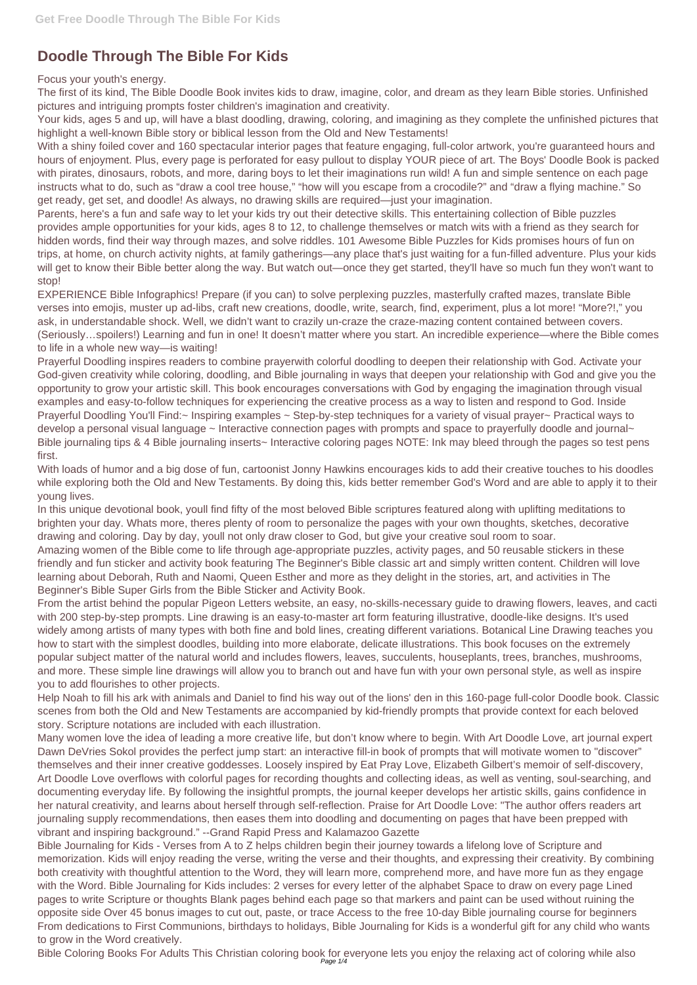## **Doodle Through The Bible For Kids**

Focus your youth's energy.

The first of its kind, The Bible Doodle Book invites kids to draw, imagine, color, and dream as they learn Bible stories. Unfinished pictures and intriguing prompts foster children's imagination and creativity.

Your kids, ages 5 and up, will have a blast doodling, drawing, coloring, and imagining as they complete the unfinished pictures that highlight a well-known Bible story or biblical lesson from the Old and New Testaments!

With a shiny foiled cover and 160 spectacular interior pages that feature engaging, full-color artwork, you're guaranteed hours and hours of enjoyment. Plus, every page is perforated for easy pullout to display YOUR piece of art. The Boys' Doodle Book is packed with pirates, dinosaurs, robots, and more, daring boys to let their imaginations run wild! A fun and simple sentence on each page instructs what to do, such as "draw a cool tree house," "how will you escape from a crocodile?" and "draw a flying machine." So get ready, get set, and doodle! As always, no drawing skills are required—just your imagination.

Parents, here's a fun and safe way to let your kids try out their detective skills. This entertaining collection of Bible puzzles provides ample opportunities for your kids, ages 8 to 12, to challenge themselves or match wits with a friend as they search for hidden words, find their way through mazes, and solve riddles. 101 Awesome Bible Puzzles for Kids promises hours of fun on trips, at home, on church activity nights, at family gatherings—any place that's just waiting for a fun-filled adventure. Plus your kids will get to know their Bible better along the way. But watch out—once they get started, they'll have so much fun they won't want to stop!

EXPERIENCE Bible Infographics! Prepare (if you can) to solve perplexing puzzles, masterfully crafted mazes, translate Bible verses into emojis, muster up ad-libs, craft new creations, doodle, write, search, find, experiment, plus a lot more! "More?!," you ask, in understandable shock. Well, we didn't want to crazily un-craze the craze-mazing content contained between covers. (Seriously…spoilers!) Learning and fun in one! It doesn't matter where you start. An incredible experience—where the Bible comes to life in a whole new way—is waiting!

Prayerful Doodling inspires readers to combine prayerwith colorful doodling to deepen their relationship with God. Activate your God-given creativity while coloring, doodling, and Bible journaling in ways that deepen your relationship with God and give you the opportunity to grow your artistic skill. This book encourages conversations with God by engaging the imagination through visual examples and easy-to-follow techniques for experiencing the creative process as a way to listen and respond to God. Inside Prayerful Doodling You'll Find:~ Inspiring examples ~ Step-by-step techniques for a variety of visual prayer~ Practical ways to develop a personal visual language ~ Interactive connection pages with prompts and space to prayerfully doodle and journal~ Bible journaling tips & 4 Bible journaling inserts~ Interactive coloring pages NOTE: Ink may bleed through the pages so test pens first.

With loads of humor and a big dose of fun, cartoonist Jonny Hawkins encourages kids to add their creative touches to his doodles while exploring both the Old and New Testaments. By doing this, kids better remember God's Word and are able to apply it to their young lives.

In this unique devotional book, youll find fifty of the most beloved Bible scriptures featured along with uplifting meditations to brighten your day. Whats more, theres plenty of room to personalize the pages with your own thoughts, sketches, decorative drawing and coloring. Day by day, youll not only draw closer to God, but give your creative soul room to soar.

Amazing women of the Bible come to life through age-appropriate puzzles, activity pages, and 50 reusable stickers in these friendly and fun sticker and activity book featuring The Beginner's Bible classic art and simply written content. Children will love learning about Deborah, Ruth and Naomi, Queen Esther and more as they delight in the stories, art, and activities in The Beginner's Bible Super Girls from the Bible Sticker and Activity Book.

From the artist behind the popular Pigeon Letters website, an easy, no-skills-necessary guide to drawing flowers, leaves, and cacti with 200 step-by-step prompts. Line drawing is an easy-to-master art form featuring illustrative, doodle-like designs. It's used widely among artists of many types with both fine and bold lines, creating different variations. Botanical Line Drawing teaches you how to start with the simplest doodles, building into more elaborate, delicate illustrations. This book focuses on the extremely popular subject matter of the natural world and includes flowers, leaves, succulents, houseplants, trees, branches, mushrooms, and more. These simple line drawings will allow you to branch out and have fun with your own personal style, as well as inspire you to add flourishes to other projects.

Help Noah to fill his ark with animals and Daniel to find his way out of the lions' den in this 160-page full-color Doodle book. Classic scenes from both the Old and New Testaments are accompanied by kid-friendly prompts that provide context for each beloved story. Scripture notations are included with each illustration.

Many women love the idea of leading a more creative life, but don't know where to begin. With Art Doodle Love, art journal expert

Dawn DeVries Sokol provides the perfect jump start: an interactive fill-in book of prompts that will motivate women to "discover" themselves and their inner creative goddesses. Loosely inspired by Eat Pray Love, Elizabeth Gilbert's memoir of self-discovery, Art Doodle Love overflows with colorful pages for recording thoughts and collecting ideas, as well as venting, soul-searching, and documenting everyday life. By following the insightful prompts, the journal keeper develops her artistic skills, gains confidence in her natural creativity, and learns about herself through self-reflection. Praise for Art Doodle Love: "The author offers readers art journaling supply recommendations, then eases them into doodling and documenting on pages that have been prepped with vibrant and inspiring background." --Grand Rapid Press and Kalamazoo Gazette Bible Journaling for Kids - Verses from A to Z helps children begin their journey towards a lifelong love of Scripture and memorization. Kids will enjoy reading the verse, writing the verse and their thoughts, and expressing their creativity. By combining both creativity with thoughtful attention to the Word, they will learn more, comprehend more, and have more fun as they engage with the Word. Bible Journaling for Kids includes: 2 verses for every letter of the alphabet Space to draw on every page Lined pages to write Scripture or thoughts Blank pages behind each page so that markers and paint can be used without ruining the opposite side Over 45 bonus images to cut out, paste, or trace Access to the free 10-day Bible journaling course for beginners From dedications to First Communions, birthdays to holidays, Bible Journaling for Kids is a wonderful gift for any child who wants to grow in the Word creatively.

Bible Coloring Books For Adults This Christian coloring book for everyone lets you enjoy the relaxing act of coloring while also Page 1/4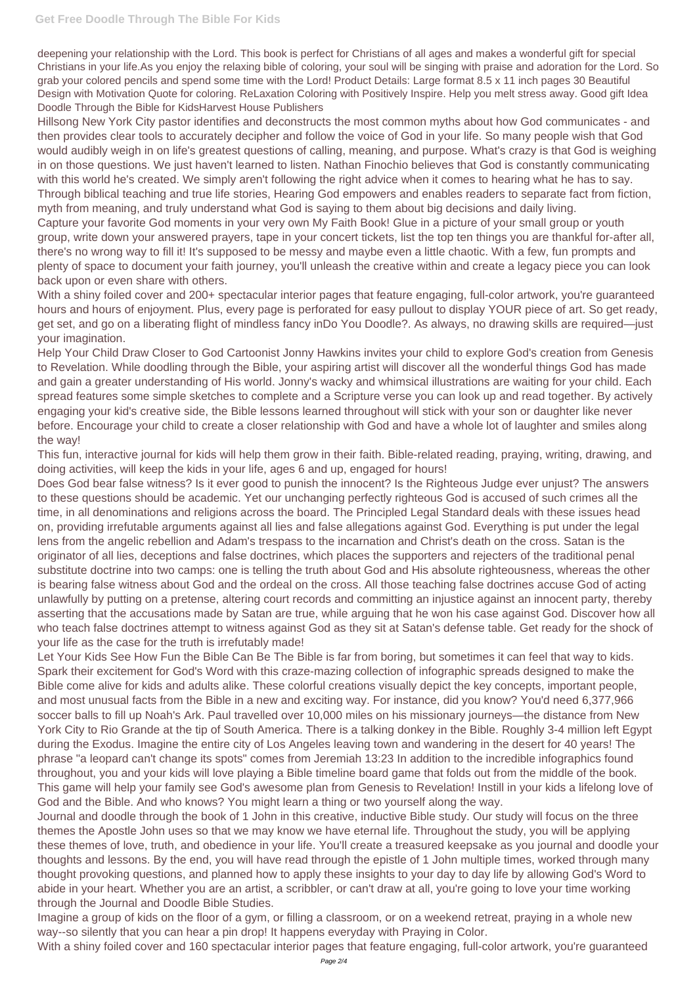deepening your relationship with the Lord. This book is perfect for Christians of all ages and makes a wonderful gift for special Christians in your life.As you enjoy the relaxing bible of coloring, your soul will be singing with praise and adoration for the Lord. So grab your colored pencils and spend some time with the Lord! Product Details: Large format 8.5 x 11 inch pages 30 Beautiful Design with Motivation Quote for coloring. ReLaxation Coloring with Positively Inspire. Help you melt stress away. Good gift Idea Doodle Through the Bible for KidsHarvest House Publishers

Hillsong New York City pastor identifies and deconstructs the most common myths about how God communicates - and then provides clear tools to accurately decipher and follow the voice of God in your life. So many people wish that God would audibly weigh in on life's greatest questions of calling, meaning, and purpose. What's crazy is that God is weighing in on those questions. We just haven't learned to listen. Nathan Finochio believes that God is constantly communicating with this world he's created. We simply aren't following the right advice when it comes to hearing what he has to say. Through biblical teaching and true life stories, Hearing God empowers and enables readers to separate fact from fiction, myth from meaning, and truly understand what God is saying to them about big decisions and daily living.

Capture your favorite God moments in your very own My Faith Book! Glue in a picture of your small group or youth group, write down your answered prayers, tape in your concert tickets, list the top ten things you are thankful for-after all, there's no wrong way to fill it! It's supposed to be messy and maybe even a little chaotic. With a few, fun prompts and plenty of space to document your faith journey, you'll unleash the creative within and create a legacy piece you can look back upon or even share with others.

With a shiny foiled cover and 200+ spectacular interior pages that feature engaging, full-color artwork, you're guaranteed hours and hours of enjoyment. Plus, every page is perforated for easy pullout to display YOUR piece of art. So get ready, get set, and go on a liberating flight of mindless fancy inDo You Doodle?. As always, no drawing skills are required—just your imagination.

Help Your Child Draw Closer to God Cartoonist Jonny Hawkins invites your child to explore God's creation from Genesis to Revelation. While doodling through the Bible, your aspiring artist will discover all the wonderful things God has made and gain a greater understanding of His world. Jonny's wacky and whimsical illustrations are waiting for your child. Each spread features some simple sketches to complete and a Scripture verse you can look up and read together. By actively engaging your kid's creative side, the Bible lessons learned throughout will stick with your son or daughter like never before. Encourage your child to create a closer relationship with God and have a whole lot of laughter and smiles along the way!

This fun, interactive journal for kids will help them grow in their faith. Bible-related reading, praying, writing, drawing, and doing activities, will keep the kids in your life, ages 6 and up, engaged for hours!

Does God bear false witness? Is it ever good to punish the innocent? Is the Righteous Judge ever unjust? The answers to these questions should be academic. Yet our unchanging perfectly righteous God is accused of such crimes all the time, in all denominations and religions across the board. The Principled Legal Standard deals with these issues head on, providing irrefutable arguments against all lies and false allegations against God. Everything is put under the legal lens from the angelic rebellion and Adam's trespass to the incarnation and Christ's death on the cross. Satan is the originator of all lies, deceptions and false doctrines, which places the supporters and rejecters of the traditional penal substitute doctrine into two camps: one is telling the truth about God and His absolute righteousness, whereas the other is bearing false witness about God and the ordeal on the cross. All those teaching false doctrines accuse God of acting unlawfully by putting on a pretense, altering court records and committing an injustice against an innocent party, thereby asserting that the accusations made by Satan are true, while arguing that he won his case against God. Discover how all who teach false doctrines attempt to witness against God as they sit at Satan's defense table. Get ready for the shock of your life as the case for the truth is irrefutably made!

Let Your Kids See How Fun the Bible Can Be The Bible is far from boring, but sometimes it can feel that way to kids. Spark their excitement for God's Word with this craze-mazing collection of infographic spreads designed to make the Bible come alive for kids and adults alike. These colorful creations visually depict the key concepts, important people, and most unusual facts from the Bible in a new and exciting way. For instance, did you know? You'd need 6,377,966 soccer balls to fill up Noah's Ark. Paul travelled over 10,000 miles on his missionary journeys—the distance from New York City to Rio Grande at the tip of South America. There is a talking donkey in the Bible. Roughly 3-4 million left Egypt during the Exodus. Imagine the entire city of Los Angeles leaving town and wandering in the desert for 40 years! The phrase "a leopard can't change its spots" comes from Jeremiah 13:23 In addition to the incredible infographics found throughout, you and your kids will love playing a Bible timeline board game that folds out from the middle of the book. This game will help your family see God's awesome plan from Genesis to Revelation! Instill in your kids a lifelong love of God and the Bible. And who knows? You might learn a thing or two yourself along the way. Journal and doodle through the book of 1 John in this creative, inductive Bible study. Our study will focus on the three themes the Apostle John uses so that we may know we have eternal life. Throughout the study, you will be applying these themes of love, truth, and obedience in your life. You'll create a treasured keepsake as you journal and doodle your thoughts and lessons. By the end, you will have read through the epistle of 1 John multiple times, worked through many thought provoking questions, and planned how to apply these insights to your day to day life by allowing God's Word to abide in your heart. Whether you are an artist, a scribbler, or can't draw at all, you're going to love your time working through the Journal and Doodle Bible Studies.

Imagine a group of kids on the floor of a gym, or filling a classroom, or on a weekend retreat, praying in a whole new way--so silently that you can hear a pin drop! It happens everyday with Praying in Color.

With a shiny foiled cover and 160 spectacular interior pages that feature engaging, full-color artwork, you're guaranteed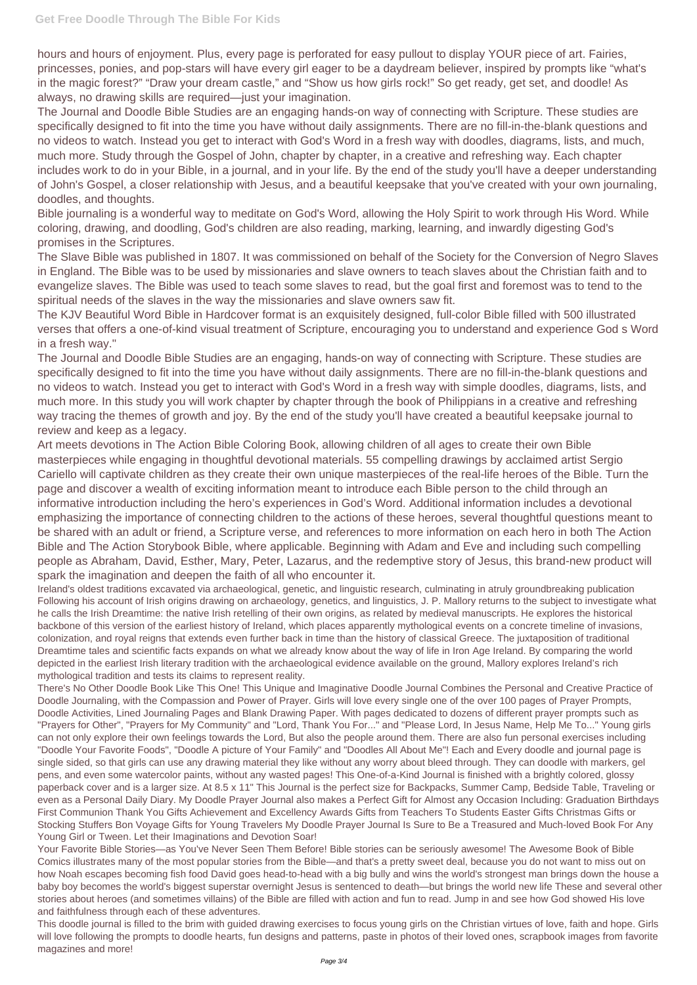hours and hours of enjoyment. Plus, every page is perforated for easy pullout to display YOUR piece of art. Fairies, princesses, ponies, and pop-stars will have every girl eager to be a daydream believer, inspired by prompts like "what's in the magic forest?" "Draw your dream castle," and "Show us how girls rock!" So get ready, get set, and doodle! As always, no drawing skills are required—just your imagination.

The Journal and Doodle Bible Studies are an engaging hands-on way of connecting with Scripture. These studies are specifically designed to fit into the time you have without daily assignments. There are no fill-in-the-blank questions and no videos to watch. Instead you get to interact with God's Word in a fresh way with doodles, diagrams, lists, and much, much more. Study through the Gospel of John, chapter by chapter, in a creative and refreshing way. Each chapter includes work to do in your Bible, in a journal, and in your life. By the end of the study you'll have a deeper understanding of John's Gospel, a closer relationship with Jesus, and a beautiful keepsake that you've created with your own journaling, doodles, and thoughts.

Bible journaling is a wonderful way to meditate on God's Word, allowing the Holy Spirit to work through His Word. While coloring, drawing, and doodling, God's children are also reading, marking, learning, and inwardly digesting God's promises in the Scriptures.

The Slave Bible was published in 1807. It was commissioned on behalf of the Society for the Conversion of Negro Slaves in England. The Bible was to be used by missionaries and slave owners to teach slaves about the Christian faith and to evangelize slaves. The Bible was used to teach some slaves to read, but the goal first and foremost was to tend to the spiritual needs of the slaves in the way the missionaries and slave owners saw fit.

The KJV Beautiful Word Bible in Hardcover format is an exquisitely designed, full-color Bible filled with 500 illustrated verses that offers a one-of-kind visual treatment of Scripture, encouraging you to understand and experience God s Word in a fresh way."

The Journal and Doodle Bible Studies are an engaging, hands-on way of connecting with Scripture. These studies are specifically designed to fit into the time you have without daily assignments. There are no fill-in-the-blank questions and no videos to watch. Instead you get to interact with God's Word in a fresh way with simple doodles, diagrams, lists, and much more. In this study you will work chapter by chapter through the book of Philippians in a creative and refreshing way tracing the themes of growth and joy. By the end of the study you'll have created a beautiful keepsake journal to review and keep as a legacy.

Art meets devotions in The Action Bible Coloring Book, allowing children of all ages to create their own Bible masterpieces while engaging in thoughtful devotional materials. 55 compelling drawings by acclaimed artist Sergio Cariello will captivate children as they create their own unique masterpieces of the real-life heroes of the Bible. Turn the page and discover a wealth of exciting information meant to introduce each Bible person to the child through an informative introduction including the hero's experiences in God's Word. Additional information includes a devotional emphasizing the importance of connecting children to the actions of these heroes, several thoughtful questions meant to be shared with an adult or friend, a Scripture verse, and references to more information on each hero in both The Action Bible and The Action Storybook Bible, where applicable. Beginning with Adam and Eve and including such compelling people as Abraham, David, Esther, Mary, Peter, Lazarus, and the redemptive story of Jesus, this brand-new product will spark the imagination and deepen the faith of all who encounter it.

Ireland's oldest traditions excavated via archaeological, genetic, and linguistic research, culminating in atruly groundbreaking publication Following his account of Irish origins drawing on archaeology, genetics, and linguistics, J. P. Mallory returns to the subject to investigate what he calls the Irish Dreamtime: the native Irish retelling of their own origins, as related by medieval manuscripts. He explores the historical backbone of this version of the earliest history of Ireland, which places apparently mythological events on a concrete timeline of invasions, colonization, and royal reigns that extends even further back in time than the history of classical Greece. The juxtaposition of traditional Dreamtime tales and scientific facts expands on what we already know about the way of life in Iron Age Ireland. By comparing the world depicted in the earliest Irish literary tradition with the archaeological evidence available on the ground, Mallory explores Ireland's rich mythological tradition and tests its claims to represent reality.

There's No Other Doodle Book Like This One! This Unique and Imaginative Doodle Journal Combines the Personal and Creative Practice of Doodle Journaling, with the Compassion and Power of Prayer. Girls will love every single one of the over 100 pages of Prayer Prompts, Doodle Activities, Lined Journaling Pages and Blank Drawing Paper. With pages dedicated to dozens of different prayer prompts such as "Prayers for Other", "Prayers for My Community" and "Lord, Thank You For..." and "Please Lord, In Jesus Name, Help Me To..." Young girls can not only explore their own feelings towards the Lord, But also the people around them. There are also fun personal exercises including "Doodle Your Favorite Foods", "Doodle A picture of Your Family" and "Doodles All About Me"! Each and Every doodle and journal page is single sided, so that girls can use any drawing material they like without any worry about bleed through. They can doodle with markers, gel pens, and even some watercolor paints, without any wasted pages! This One-of-a-Kind Journal is finished with a brightly colored, glossy paperback cover and is a larger size. At 8.5 x 11" This Journal is the perfect size for Backpacks, Summer Camp, Bedside Table, Traveling or even as a Personal Daily Diary. My Doodle Prayer Journal also makes a Perfect Gift for Almost any Occasion Including: Graduation Birthdays First Communion Thank You Gifts Achievement and Excellency Awards Gifts from Teachers To Students Easter Gifts Christmas Gifts or Stocking Stuffers Bon Voyage Gifts for Young Travelers My Doodle Prayer Journal Is Sure to Be a Treasured and Much-loved Book For Any Young Girl or Tween. Let their Imaginations and Devotion Soar! Your Favorite Bible Stories—as You've Never Seen Them Before! Bible stories can be seriously awesome! The Awesome Book of Bible Comics illustrates many of the most popular stories from the Bible—and that's a pretty sweet deal, because you do not want to miss out on how Noah escapes becoming fish food David goes head-to-head with a big bully and wins the world's strongest man brings down the house a baby boy becomes the world's biggest superstar overnight Jesus is sentenced to death—but brings the world new life These and several other stories about heroes (and sometimes villains) of the Bible are filled with action and fun to read. Jump in and see how God showed His love and faithfulness through each of these adventures.

This doodle journal is filled to the brim with guided drawing exercises to focus young girls on the Christian virtues of love, faith and hope. Girls will love following the prompts to doodle hearts, fun designs and patterns, paste in photos of their loved ones, scrapbook images from favorite magazines and more!